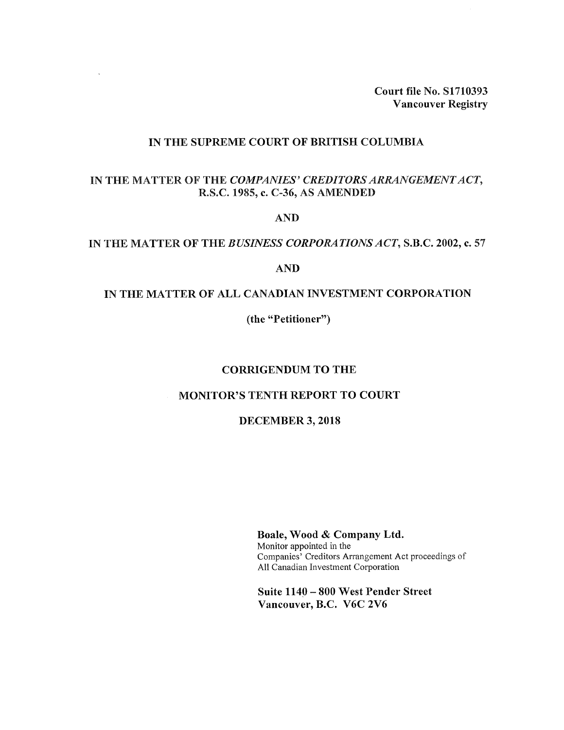**Court file No. S1710393 Vancouver Registry**

### **IN THE SUPREME COURT OF BRITISH COLUMBIA**

 $\sim$ 

# **IN THE MATTER OF THE** *COMPANIES' CREDITORSARRANGEMENTACT,* **R.S.C. 1985, c. C-36, AS AMENDED**

**AND**

#### **IN THE MATTER OF THE** *BUSINESS CORPORATIONSACT,* **S.B.C. 2002, c. 57**

**AND**

#### **IN THE MATTER OF ALL CANADIAN INVESTMENT CORPORATION**

**(the "Petitioner")**

## **CORRIGENDUM TO THE**

## **MONITOR'S TENTH REPORT TO COURT**

#### **DECEMBER 3, 2018**

**Boale, Wood & Company Ltd.** Monitor appointed in the Companies' Creditors Arrangement Act proceedings of All Canadian Investment Corporation

**Suite <sup>1140</sup> - <sup>800</sup> West Pender Street Vancouver, B.C. V6C 2V6**